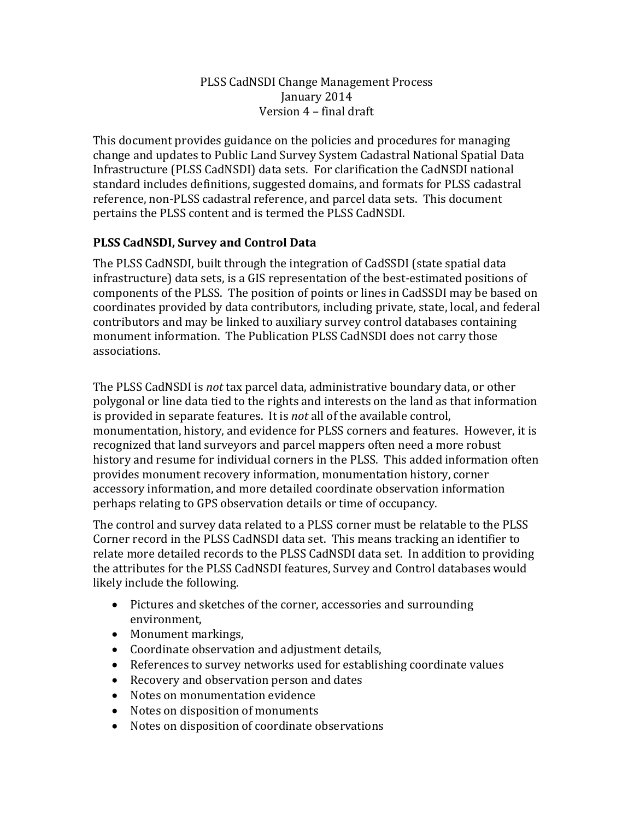### PLSS CadNSDI Change Management Process January 2014 Version 4 – final draft

This document provides guidance on the policies and procedures for managing change and updates to Public Land Survey System Cadastral National Spatial Data Infrastructure (PLSS CadNSDI) data sets. For clarification the CadNSDI national standard includes definitions, suggested domains, and formats for PLSS cadastral reference, non-PLSS cadastral reference, and parcel data sets. This document pertains the PLSS content and is termed the PLSS CadNSDI.

# **PLSS CadNSDI, Survey and Control Data**

The PLSS CadNSDI, built through the integration of CadSSDI (state spatial data infrastructure) data sets, is a GIS representation of the best-estimated positions of components of the PLSS. The position of points or lines in CadSSDI may be based on coordinates provided by data contributors, including private, state, local, and federal contributors and may be linked to auxiliary survey control databases containing monument information. The Publication PLSS CadNSDI does not carry those associations.

The PLSS CadNSDI is *not* tax parcel data, administrative boundary data, or other polygonal or line data tied to the rights and interests on the land as that information is provided in separate features. It is *not* all of the available control, monumentation, history, and evidence for PLSS corners and features. However, it is recognized that land surveyors and parcel mappers often need a more robust history and resume for individual corners in the PLSS. This added information often provides monument recovery information, monumentation history, corner accessory information, and more detailed coordinate observation information perhaps relating to GPS observation details or time of occupancy.

The control and survey data related to a PLSS corner must be relatable to the PLSS Corner record in the PLSS CadNSDI data set. This means tracking an identifier to relate more detailed records to the PLSS CadNSDI data set. In addition to providing the attributes for the PLSS CadNSDI features, Survey and Control databases would likely include the following.

- Pictures and sketches of the corner, accessories and surrounding environment,
- Monument markings,
- Coordinate observation and adjustment details,
- References to survey networks used for establishing coordinate values
- Recovery and observation person and dates
- Notes on monumentation evidence
- Notes on disposition of monuments
- Notes on disposition of coordinate observations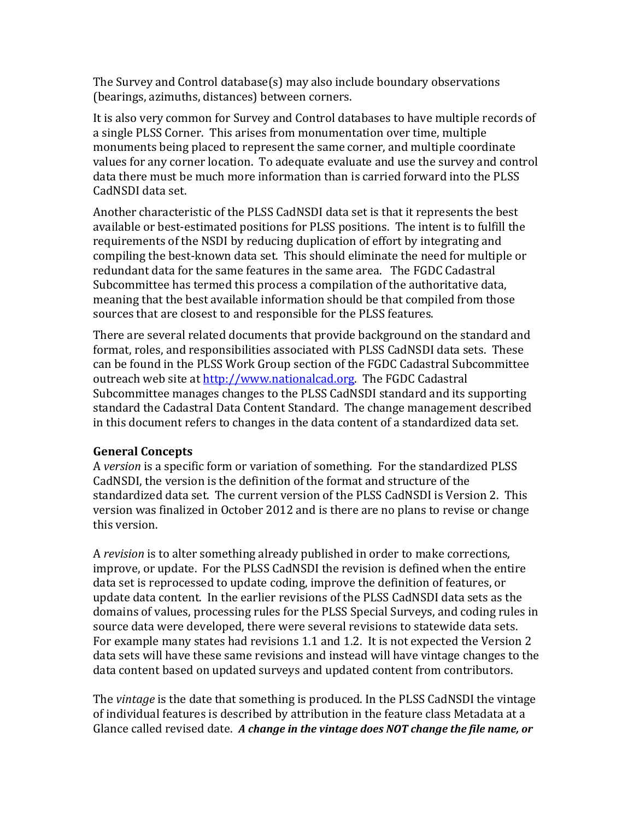The Survey and Control database(s) may also include boundary observations (bearings, azimuths, distances) between corners.

It is also very common for Survey and Control databases to have multiple records of a single PLSS Corner. This arises from monumentation over time, multiple monuments being placed to represent the same corner, and multiple coordinate values for any corner location. To adequate evaluate and use the survey and control data there must be much more information than is carried forward into the PLSS CadNSDI data set.

Another characteristic of the PLSS CadNSDI data set is that it represents the best available or best-estimated positions for PLSS positions. The intent is to fulfill the requirements of the NSDI by reducing duplication of effort by integrating and compiling the best-known data set. This should eliminate the need for multiple or redundant data for the same features in the same area. The FGDC Cadastral Subcommittee has termed this process a compilation of the authoritative data, meaning that the best available information should be that compiled from those sources that are closest to and responsible for the PLSS features.

There are several related documents that provide background on the standard and format, roles, and responsibilities associated with PLSS CadNSDI data sets. These can be found in the PLSS Work Group section of the FGDC Cadastral Subcommittee outreach web site at [http://www.nationalcad.org.](http://www.nationalcad.org/) The FGDC Cadastral Subcommittee manages changes to the PLSS CadNSDI standard and its supporting standard the Cadastral Data Content Standard. The change management described in this document refers to changes in the data content of a standardized data set.

### **General Concepts**

A *version* is a specific form or variation of something. For the standardized PLSS CadNSDI, the version is the definition of the format and structure of the standardized data set. The current version of the PLSS CadNSDI is Version 2. This version was finalized in October 2012 and is there are no plans to revise or change this version.

A *revision* is to alter something already published in order to make corrections, improve, or update. For the PLSS CadNSDI the revision is defined when the entire data set is reprocessed to update coding, improve the definition of features, or update data content. In the earlier revisions of the PLSS CadNSDI data sets as the domains of values, processing rules for the PLSS Special Surveys, and coding rules in source data were developed, there were several revisions to statewide data sets. For example many states had revisions 1.1 and 1.2. It is not expected the Version 2 data sets will have these same revisions and instead will have vintage changes to the data content based on updated surveys and updated content from contributors.

The *vintage* is the date that something is produced. In the PLSS CadNSDI the vintage of individual features is described by attribution in the feature class Metadata at a Glance called revised date. *A change in the vintage does NOT change the file name, or*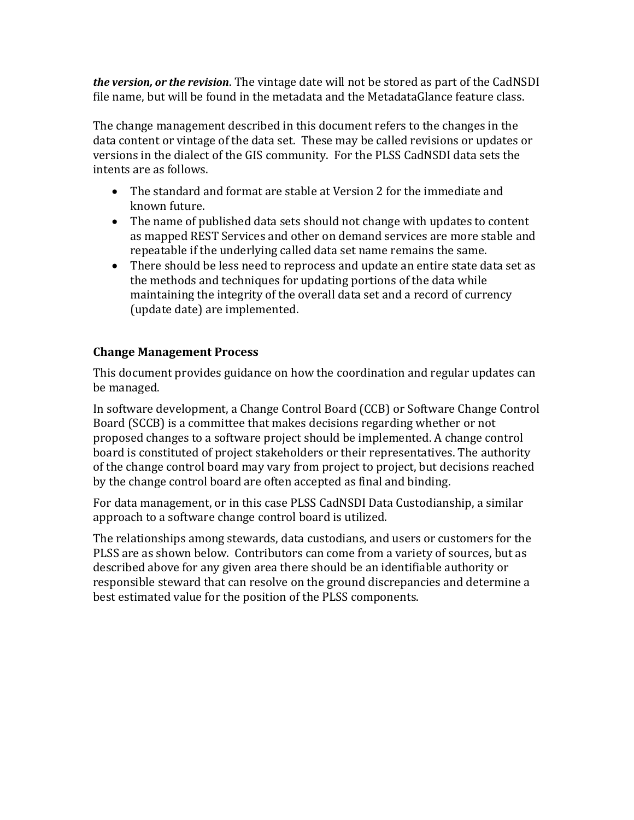*the version, or the revision*. The vintage date will not be stored as part of the CadNSDI file name, but will be found in the metadata and the MetadataGlance feature class.

The change management described in this document refers to the changes in the data content or vintage of the data set. These may be called revisions or updates or versions in the dialect of the GIS community. For the PLSS CadNSDI data sets the intents are as follows.

- The standard and format are stable at Version 2 for the immediate and known future.
- The name of published data sets should not change with updates to content as mapped REST Services and other on demand services are more stable and repeatable if the underlying called data set name remains the same.
- There should be less need to reprocess and update an entire state data set as the methods and techniques for updating portions of the data while maintaining the integrity of the overall data set and a record of currency (update date) are implemented.

## **Change Management Process**

This document provides guidance on how the coordination and regular updates can be managed.

In software development, a Change Control Board (CCB) or Software Change Control Board (SCCB) is a committee that makes decisions regarding whether or not proposed changes to a software project should be implemented. A change control board is constituted of project stakeholders or their representatives. The authority of the change control board may vary from project to project, but decisions reached by the change control board are often accepted as final and binding.

For data management, or in this case PLSS CadNSDI Data Custodianship, a similar approach to a software change control board is utilized.

The relationships among stewards, data custodians, and users or customers for the PLSS are as shown below. Contributors can come from a variety of sources, but as described above for any given area there should be an identifiable authority or responsible steward that can resolve on the ground discrepancies and determine a best estimated value for the position of the PLSS components.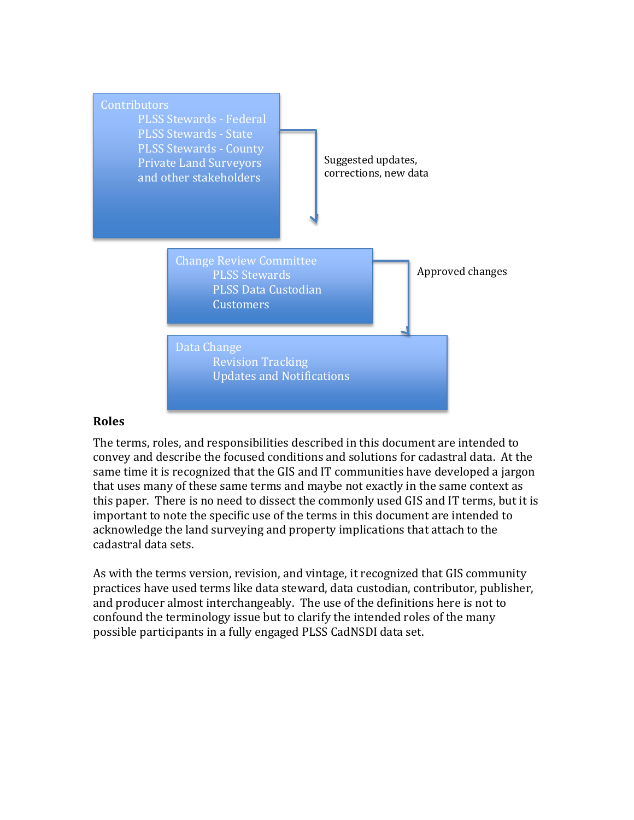

#### **Roles**

The terms, roles, and responsibilities described in this document are intended to convey and describe the focused conditions and solutions for cadastral data. At the same time it is recognized that the GIS and IT communities have developed a jargon that uses many of these same terms and maybe not exactly in the same context as this paper. There is no need to dissect the commonly used GIS and IT terms, but it is important to note the specific use of the terms in this document are intended to acknowledge the land surveying and property implications that attach to the cadastral data sets.

As with the terms version, revision, and vintage, it recognized that GIS community practices have used terms like data steward, data custodian, contributor, publisher, and producer almost interchangeably. The use of the definitions here is not to confound the terminology issue but to clarify the intended roles of the many possible participants in a fully engaged PLSS CadNSDI data set.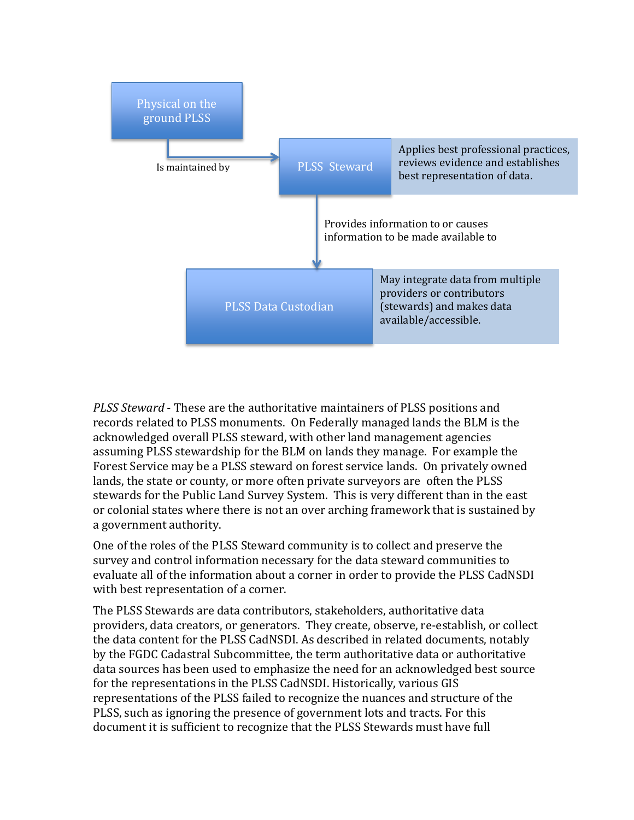

*PLSS Steward* - These are the authoritative maintainers of PLSS positions and records related to PLSS monuments. On Federally managed lands the BLM is the acknowledged overall PLSS steward, with other land management agencies assuming PLSS stewardship for the BLM on lands they manage. For example the Forest Service may be a PLSS steward on forest service lands. On privately owned lands, the state or county, or more often private surveyors are often the PLSS stewards for the Public Land Survey System. This is very different than in the east or colonial states where there is not an over arching framework that is sustained by a government authority.

One of the roles of the PLSS Steward community is to collect and preserve the survey and control information necessary for the data steward communities to evaluate all of the information about a corner in order to provide the PLSS CadNSDI with best representation of a corner.

The PLSS Stewards are data contributors, stakeholders, authoritative data providers, data creators, or generators. They create, observe, re-establish, or collect the data content for the PLSS CadNSDI. As described in related documents, notably by the FGDC Cadastral Subcommittee, the term authoritative data or authoritative data sources has been used to emphasize the need for an acknowledged best source for the representations in the PLSS CadNSDI. Historically, various GIS representations of the PLSS failed to recognize the nuances and structure of the PLSS, such as ignoring the presence of government lots and tracts. For this document it is sufficient to recognize that the PLSS Stewards must have full